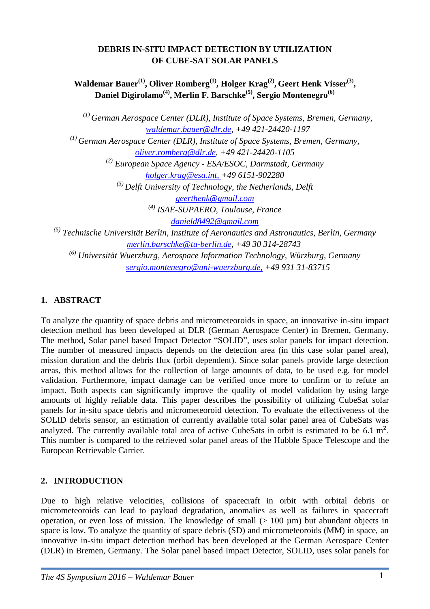## **DEBRIS IN-SITU IMPACT DETECTION BY UTILIZATION OF CUBE-SAT SOLAR PANELS**

**Waldemar Bauer(1), Oliver Romberg(1) , Holger Krag(2) , Geert Henk Visser(3) , Daniel Digirolamo(4) , Merlin F. Barschke(5), Sergio Montenegro(6)**

*(1) German Aerospace Center (DLR), Institute of Space Systems, Bremen, Germany, [waldemar.bauer@dlr.de,](mailto:waldemar.bauer@dlr.de) +49 421-24420-1197*

*(1) German Aerospace Center (DLR), Institute of Space Systems, Bremen, Germany,*

*[oliver.romberg@dlr.de,](mailto:oliver.romberg@dlr.de) +49 421-24420-1105*

*(2) European Space Agency - ESA/ESOC, Darmstadt, Germany*

*[holger.krag@esa.int,](mailto:holger.krag@esa.int) +49 6151-902280*

*(3) Delft University of Technology, the Netherlands, Delft*

*[geerthenk@gmail.com](mailto:geerthenk@gmail.com)*

*(4) ISAE-SUPAERO, Toulouse, France* 

*[danield8492@gmail.com](mailto:danield8492@gmail.com)*

*(5) Technische Universität Berlin, Institute of Aeronautics and Astronautics, Berlin, Germany [merlin.barschke@tu-berlin.de](mailto:merlin.barschke@tu-berlin.de)*, *+49 30 314-28743*

*(6) Universität Wuerzburg, Aerospace Information Technology, Würzburg, Germany [sergio.montenegro@uni-wuerzburg.de,](mailto:sergio.montenegro@uni-wuerzburg.de) +49 931 31-83715*

## **1. ABSTRACT**

To analyze the quantity of space debris and micrometeoroids in space, an innovative in-situ impact detection method has been developed at DLR (German Aerospace Center) in Bremen, Germany. The method, Solar panel based Impact Detector "SOLID", uses solar panels for impact detection. The number of measured impacts depends on the detection area (in this case solar panel area), mission duration and the debris flux (orbit dependent). Since solar panels provide large detection areas, this method allows for the collection of large amounts of data, to be used e.g. for model validation. Furthermore, impact damage can be verified once more to confirm or to refute an impact. Both aspects can significantly improve the quality of model validation by using large amounts of highly reliable data. This paper describes the possibility of utilizing CubeSat solar panels for in-situ space debris and micrometeoroid detection. To evaluate the effectiveness of the SOLID debris sensor, an estimation of currently available total solar panel area of CubeSats was analyzed. The currently available total area of active CubeSats in orbit is estimated to be 6.1 m². This number is compared to the retrieved solar panel areas of the Hubble Space Telescope and the European Retrievable Carrier.

# **2. INTRODUCTION**

Due to high relative velocities, collisions of spacecraft in orbit with orbital debris or micrometeoroids can lead to payload degradation, anomalies as well as failures in spacecraft operation, or even loss of mission. The knowledge of small  $(> 100 \mu m)$  but abundant objects in space is low. To analyze the quantity of space debris (SD) and micrometeoroids (MM) in space, an innovative in-situ impact detection method has been developed at the German Aerospace Center (DLR) in Bremen, Germany. The Solar panel based Impact Detector, SOLID, uses solar panels for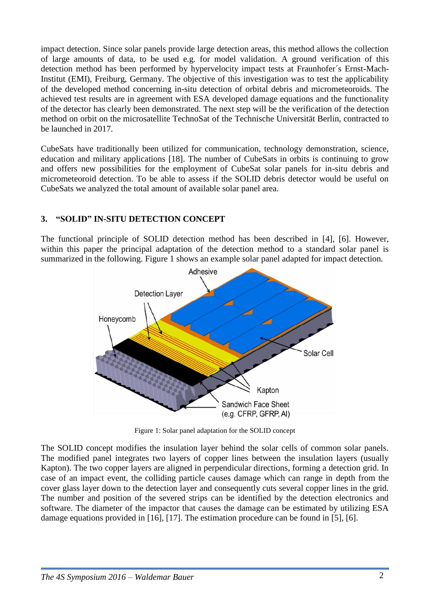impact detection. Since solar panels provide large detection areas, this method allows the collection of large amounts of data, to be used e.g. for model validation. A ground verification of this detection method has been performed by hypervelocity impact tests at Fraunhofer´s Ernst-Mach-Institut (EMI), Freiburg, Germany. The objective of this investigation was to test the applicability of the developed method concerning in-situ detection of orbital debris and micrometeoroids. The achieved test results are in agreement with ESA developed damage equations and the functionality of the detector has clearly been demonstrated. The next step will be the verification of the detection method on orbit on the microsatellite TechnoSat of the Technische Universität Berlin, contracted to be launched in 2017.

CubeSats have traditionally been utilized for communication, technology demonstration, science, education and military applications [18]. The number of CubeSats in orbits is continuing to grow and offers new possibilities for the employment of CubeSat solar panels for in-situ debris and micrometeoroid detection. To be able to assess if the SOLID debris detector would be useful on CubeSats we analyzed the total amount of available solar panel area.

## **3. "SOLID" IN-SITU DETECTION CONCEPT**

The functional principle of SOLID detection method has been described in [4], [6]. However, within this paper the principal adaptation of the detection method to a standard solar panel is summarized in the following. [Figure 1](#page-1-0) shows an example solar panel adapted for impact detection.



Figure 1: Solar panel adaptation for the SOLID concept

<span id="page-1-0"></span>The SOLID concept modifies the insulation layer behind the solar cells of common solar panels. The modified panel integrates two layers of copper lines between the insulation layers (usually Kapton). The two copper layers are aligned in perpendicular directions, forming a detection grid. In case of an impact event, the colliding particle causes damage which can range in depth from the cover glass layer down to the detection layer and consequently cuts several copper lines in the grid. The number and position of the severed strips can be identified by the detection electronics and software. The diameter of the impactor that causes the damage can be estimated by utilizing ESA damage equations provided in [16], [17]. The estimation procedure can be found in [5], [6].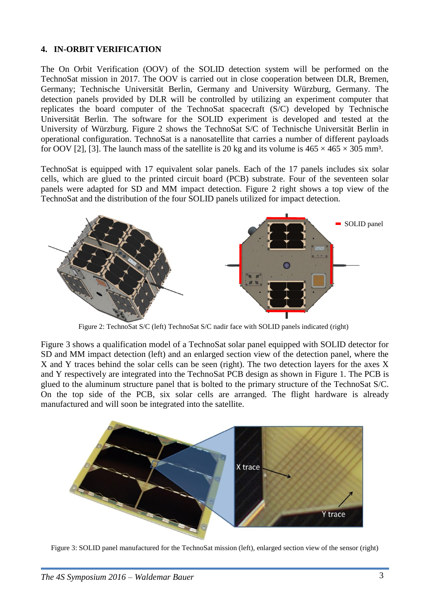#### **4. IN-ORBIT VERIFICATION**

The On Orbit Verification (OOV) of the SOLID detection system will be performed on the TechnoSat mission in 2017. The OOV is carried out in close cooperation between DLR, Bremen, Germany; Technische Universität Berlin, Germany and University Würzburg, Germany. The detection panels provided by DLR will be controlled by utilizing an experiment computer that replicates the board computer of the TechnoSat spacecraft (S/C) developed by Technische Universität Berlin. The software for the SOLID experiment is developed and tested at the University of Würzburg. [Figure](#page-2-0) 2 shows the TechnoSat S/C of Technische Universität Berlin in operational configuration. TechnoSat is a nanosatellite that carries a number of different payloads for OOV [2], [3]. The launch mass of the satellite is 20 kg and its volume is  $465 \times 465 \times 305$  mm<sup>3</sup>.

TechnoSat is equipped with 17 equivalent solar panels. Each of the 17 panels includes six solar cells, which are glued to the printed circuit board (PCB) substrate. Four of the seventeen solar panels were adapted for SD and MM impact detection. [Figure](#page-2-0) 2 right shows a top view of the TechnoSat and the distribution of the four SOLID panels utilized for impact detection.



Figure 2: TechnoSat S/C (left) TechnoSat S/C nadir face with SOLID panels indicated (right)

<span id="page-2-0"></span>[Figure](#page-2-1) 3 shows a qualification model of a TechnoSat solar panel equipped with SOLID detector for SD and MM impact detection (left) and an enlarged section view of the detection panel, where the X and Y traces behind the solar cells can be seen (right). The two detection layers for the axes X and Y respectively are integrated into the TechnoSat PCB design as shown in [Figure 1.](#page-1-0) The PCB is glued to the aluminum structure panel that is bolted to the primary structure of the TechnoSat S/C. On the top side of the PCB, six solar cells are arranged. The flight hardware is already manufactured and will soon be integrated into the satellite.



<span id="page-2-1"></span>Figure 3: SOLID panel manufactured for the TechnoSat mission (left), enlarged section view of the sensor (right)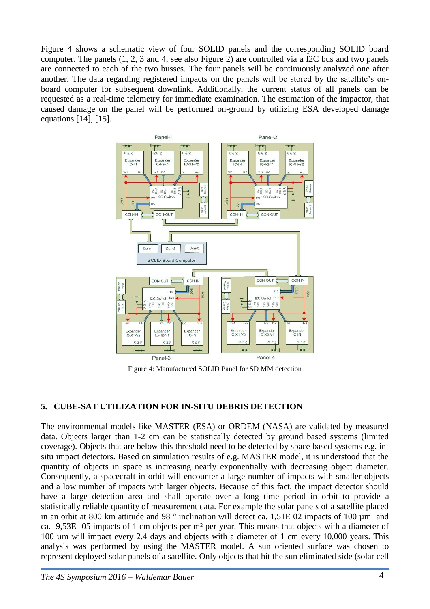[Figure](#page-3-0) 4 shows a schematic view of four SOLID panels and the corresponding SOLID board computer. The panels (1, 2, 3 and 4, see also [Figure](#page-2-0) 2) are controlled via a I2C bus and two panels are connected to each of the two busses. The four panels will be continuously analyzed one after another. The data regarding registered impacts on the panels will be stored by the satellite's onboard computer for subsequent downlink. Additionally, the current status of all panels can be requested as a real-time telemetry for immediate examination. The estimation of the impactor, that caused damage on the panel will be performed on-ground by utilizing ESA developed damage equations [14], [15].



Figure 4: Manufactured SOLID Panel for SD MM detection

## <span id="page-3-0"></span>**5. CUBE-SAT UTILIZATION FOR IN-SITU DEBRIS DETECTION**

The environmental models like MASTER (ESA) or ORDEM (NASA) are validated by measured data. Objects larger than 1-2 cm can be statistically detected by ground based systems (limited coverage). Objects that are below this threshold need to be detected by space based systems e.g. insitu impact detectors. Based on simulation results of e.g. MASTER model, it is understood that the quantity of objects in space is increasing nearly exponentially with decreasing object diameter. Consequently, a spacecraft in orbit will encounter a large number of impacts with smaller objects and a low number of impacts with larger objects. Because of this fact, the impact detector should have a large detection area and shall operate over a long time period in orbit to provide a statistically reliable quantity of measurement data. For example the solar panels of a satellite placed in an orbit at 800 km attitude and 98 ° inclination will detect ca. 1,51E 02 impacts of 100 µm and ca. 9,53E -05 impacts of 1 cm objects per m² per year. This means that objects with a diameter of 100 µm will impact every 2.4 days and objects with a diameter of 1 cm every 10,000 years. This analysis was performed by using the MASTER model. A sun oriented surface was chosen to represent deployed solar panels of a satellite. Only objects that hit the sun eliminated side (solar cell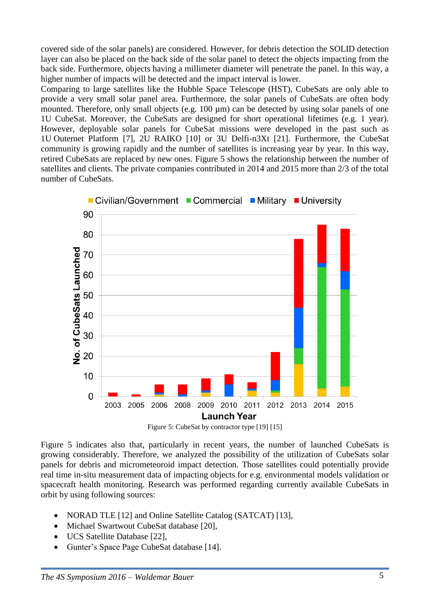covered side of the solar panels) are considered. However, for debris detection the SOLID detection layer can also be placed on the back side of the solar panel to detect the objects impacting from the back side. Furthermore, objects having a millimeter diameter will penetrate the panel. In this way, a higher number of impacts will be detected and the impact interval is lower.

Comparing to large satellites like the Hubble Space Telescope (HST), CubeSats are only able to provide a very small solar panel area. Furthermore, the solar panels of CubeSats are often body mounted. Therefore, only small objects (e.g. 100 µm) can be detected by using solar panels of one 1U CubeSat. Moreover, the CubeSats are designed for short operational lifetimes (e.g. 1 year). However, deployable solar panels for CubeSat missions were developed in the past such as 1U Outernet Platform [7], 2U RAIKO [10] or 3U Delfi-n3Xt [21]. Furthermore, the CubeSat community is growing rapidly and the number of satellites is increasing year by year. In this way, retired CubeSats are replaced by new ones. [Figure](#page-4-0) 5 shows the relationship between the number of satellites and clients. The private companies contributed in 2014 and 2015 more than 2/3 of the total number of CubeSats.



Figure 5: CubeSat by contractor type [19] [15]

<span id="page-4-0"></span>[Figure](#page-4-0) 5 indicates also that, particularly in recent years, the number of launched CubeSats is growing considerably. Therefore, we analyzed the possibility of the utilization of CubeSats solar panels for debris and micrometeoroid impact detection. Those satellites could potentially provide real time in-situ measurement data of impacting objects for e.g. environmental models validation or spacecraft health monitoring. Research was performed regarding currently available CubeSats in orbit by using following sources:

- NORAD TLE [12] and Online Satellite Catalog (SATCAT) [13],
- Michael Swartwout CubeSat database [20],
- UCS Satellite Database [22],
- Gunter's Space Page CubeSat database [14].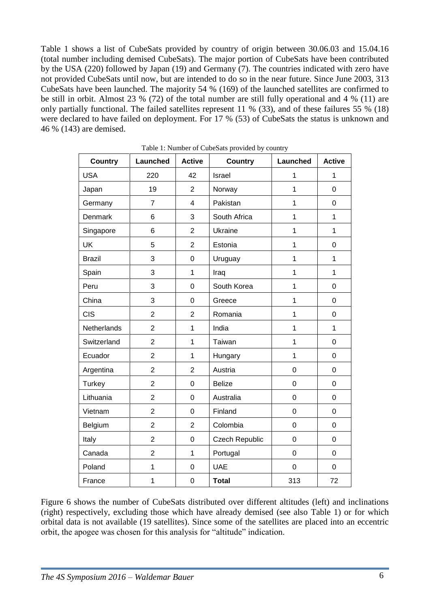[Table 1](#page-5-0) shows a list of CubeSats provided by country of origin between 30.06.03 and 15.04.16 (total number including demised CubeSats). The major portion of CubeSats have been contributed by the USA (220) followed by Japan (19) and Germany (7). The countries indicated with zero have not provided CubeSats until now, but are intended to do so in the near future. Since June 2003, 313 CubeSats have been launched. The majority 54 % (169) of the launched satellites are confirmed to be still in orbit. Almost 23 % (72) of the total number are still fully operational and 4 % (11) are only partially functional. The failed satellites represent 11 % (33), and of these failures 55 % (18) were declared to have failed on deployment. For 17 % (53) of CubeSats the status is unknown and 46 % (143) are demised.

<span id="page-5-0"></span>

| <b>Country</b> | Launched                | <b>Active</b>  | <b>Country</b>        | <b>Launched</b> | <b>Active</b>    |
|----------------|-------------------------|----------------|-----------------------|-----------------|------------------|
| <b>USA</b>     | 220                     | 42             | Israel                | 1               | 1                |
| Japan          | 19                      | $\overline{2}$ | Norway                | $\mathbf 1$     | $\mathbf 0$      |
| Germany        | $\overline{7}$          | $\overline{4}$ | Pakistan              | $\mathbf 1$     | $\pmb{0}$        |
| Denmark        | 6                       | 3              | South Africa          | 1               | $\mathbf{1}$     |
| Singapore      | 6                       | $\overline{2}$ | Ukraine               | 1               | $\mathbf{1}$     |
| <b>UK</b>      | 5                       | $\overline{2}$ | Estonia               | 1               | 0                |
| <b>Brazil</b>  | 3                       | $\overline{0}$ | Uruguay               | $\mathbf{1}$    | $\mathbf{1}$     |
| Spain          | 3                       | $\mathbf 1$    | Iraq                  | $\mathbf 1$     | $\mathbf{1}$     |
| Peru           | 3                       | $\mathbf 0$    | South Korea           | $\mathbf 1$     | $\mathbf 0$      |
| China          | 3                       | $\mathbf 0$    | Greece                | $\mathbf{1}$    | $\mathbf 0$      |
| <b>CIS</b>     | $\overline{c}$          | $\overline{2}$ | Romania               | $\mathbf 1$     | $\pmb{0}$        |
| Netherlands    | $\overline{c}$          | $\mathbf 1$    | India                 | 1               | $\mathbf{1}$     |
| Switzerland    | $\overline{2}$          | $\mathbf 1$    | Taiwan                | $\mathbf 1$     | 0                |
| Ecuador        | $\overline{2}$          | $\mathbf 1$    | Hungary               | 1               | $\boldsymbol{0}$ |
| Argentina      | $\overline{c}$          | $\overline{2}$ | Austria               | $\mathsf 0$     | $\boldsymbol{0}$ |
| Turkey         | $\overline{2}$          | $\mathsf 0$    | <b>Belize</b>         | $\mathsf 0$     | $\mathbf 0$      |
| Lithuania      | $\overline{2}$          | $\mathbf 0$    | Australia             | $\mathbf 0$     | $\mathbf 0$      |
| Vietnam        | $\overline{2}$          | $\mathbf 0$    | Finland               | $\mathbf 0$     | $\mathbf 0$      |
| Belgium        | $\overline{2}$          | $\overline{2}$ | Colombia              | $\mathbf 0$     | $\mathbf 0$      |
| Italy          | $\overline{c}$          | $\mathbf 0$    | <b>Czech Republic</b> | $\mathbf 0$     | $\mathbf 0$      |
| Canada         | $\overline{\mathbf{c}}$ | $\mathbf 1$    | Portugal              | 0               | $\mathbf 0$      |
| Poland         | $\mathbf 1$             | $\mathsf 0$    | <b>UAE</b>            | $\pmb{0}$       | $\mathbf 0$      |
| France         | $\mathbf 1$             | 0              | <b>Total</b>          | 313             | 72               |

Table 1: Number of CubeSats provided by country

[Figure](#page-6-0) 6 shows the number of CubeSats distributed over different altitudes (left) and inclinations (right) respectively, excluding those which have already demised (see also [Table 1\)](#page-5-0) or for which orbital data is not available (19 satellites). Since some of the satellites are placed into an eccentric orbit, the apogee was chosen for this analysis for "altitude" indication.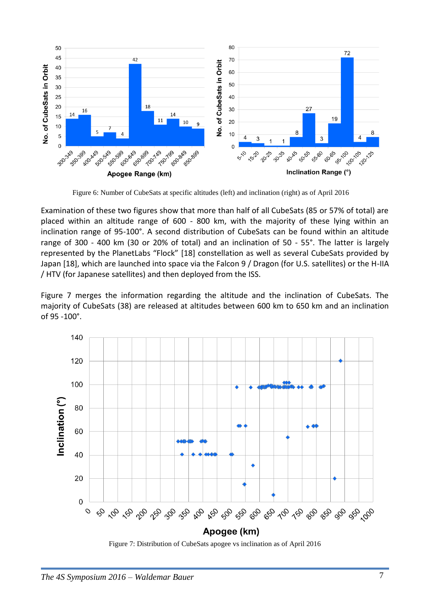

Figure 6: Number of CubeSats at specific altitudes (left) and inclination (right) as of April 2016

<span id="page-6-0"></span>Examination of these two figures show that more than half of all CubeSats (85 or 57% of total) are placed within an altitude range of 600 - 800 km, with the majority of these lying within an inclination range of 95-100°. A second distribution of CubeSats can be found within an altitude range of 300 - 400 km (30 or 20% of total) and an inclination of 50 - 55°. The latter is largely represented by the PlanetLabs "Flock" [18] constellation as well as several CubeSats provided by Japan [18], which are launched into space via the Falcon 9 / Dragon (for U.S. satellites) or the H-IIA / HTV (for Japanese satellites) and then deployed from the ISS.

[Figure](#page-6-1) 7 merges the information regarding the altitude and the inclination of CubeSats. The majority of CubeSats (38) are released at altitudes between 600 km to 650 km and an inclination of 95 -100°.



<span id="page-6-1"></span>Figure 7: Distribution of CubeSats apogee vs inclination as of April 2016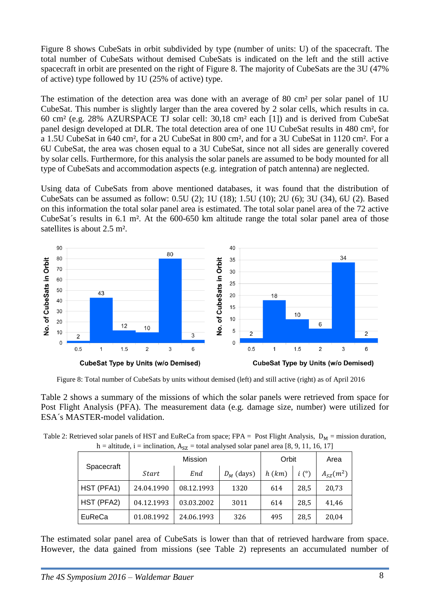[Figure](#page-7-0) 8 shows CubeSats in orbit subdivided by type (number of units: U) of the spacecraft. The total number of CubeSats without demised CubeSats is indicated on the left and the still active spacecraft in orbit are presented on the right of [Figure](#page-7-0) 8. The majority of CubeSats are the 3U (47% of active) type followed by 1U (25% of active) type.

The estimation of the detection area was done with an average of 80 cm<sup>2</sup> per solar panel of 1U CubeSat. This number is slightly larger than the area covered by 2 solar cells, which results in ca. 60 cm² (e.g. 28% AZURSPACE TJ solar cell: 30,18 cm² each [1]) and is derived from CubeSat panel design developed at DLR. The total detection area of one 1U CubeSat results in 480 cm², for a 1.5U CubeSat in 640 cm², for a 2U CubeSat in 800 cm², and for a 3U CubeSat in 1120 cm². For a 6U CubeSat, the area was chosen equal to a 3U CubeSat, since not all sides are generally covered by solar cells. Furthermore, for this analysis the solar panels are assumed to be body mounted for all type of CubeSats and accommodation aspects (e.g. integration of patch antenna) are neglected.

Using data of CubeSats from above mentioned databases, it was found that the distribution of CubeSats can be assumed as follow: 0.5U (2); 1U (18); 1.5U (10); 2U (6); 3U (34), 6U (2). Based on this information the total solar panel area is estimated. The total solar panel area of the 72 active CubeSat´s results in 6.1 m². At the 600-650 km altitude range the total solar panel area of those satellites is about 2.5 m².



Figure 8: Total number of CubeSats by units without demised (left) and still active (right) as of April 2016

<span id="page-7-0"></span>[Table](#page-7-1) 2 shows a summary of the missions of which the solar panels were retrieved from space for Post Flight Analysis (PFA). The measurement data (e.g. damage size, number) were utilized for ESA´s MASTER-model validation.

<span id="page-7-1"></span>

| Table 2: Retrieved solar panels of HST and EuReCa from space; FPA = Post Flight Analysis, $D_M$ = mission duration, |
|---------------------------------------------------------------------------------------------------------------------|
| h = altitude, i = inclination, $A_{SZ}$ = total analysed solar panel area [8, 9, 11, 16, 17]                        |

| Spacecraft    | Mission    |            |              | Orbit |      | Area          |
|---------------|------------|------------|--------------|-------|------|---------------|
|               | Start      | End        | $D_M$ (days) | h(km) | i(°) | $A_{SZ}(m^2)$ |
| HST (PFA1)    | 24.04.1990 | 08.12.1993 | 1320         | 614   | 28,5 | 20,73         |
| HST (PFA2)    | 04.12.1993 | 03.03.2002 | 3011         | 614   | 28,5 | 41,46         |
| <b>EuReCa</b> | 01.08.1992 | 24.06.1993 | 326          | 495   | 28,5 | 20,04         |

The estimated solar panel area of CubeSats is lower than that of retrieved hardware from space. However, the data gained from missions (see [Table](#page-7-1) 2) represents an accumulated number of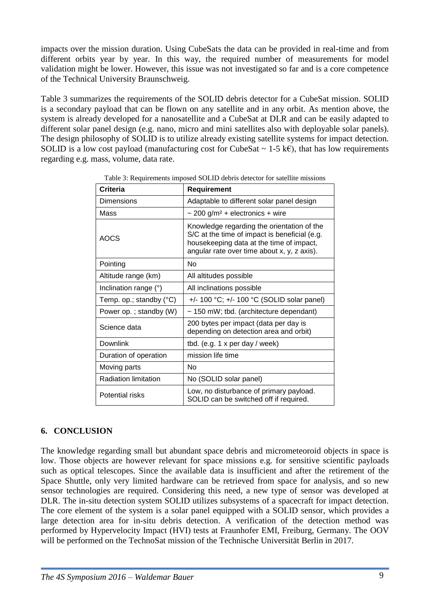impacts over the mission duration. Using CubeSats the data can be provided in real-time and from different orbits year by year. In this way, the required number of measurements for model validation might be lower. However, this issue was not investigated so far and is a core competence of the Technical University Braunschweig.

[Table](#page-8-0) 3 summarizes the requirements of the SOLID debris detector for a CubeSat mission. SOLID is a secondary payload that can be flown on any satellite and in any orbit. As mention above, the system is already developed for a nanosatellite and a CubeSat at DLR and can be easily adapted to different solar panel design (e.g. nano, micro and mini satellites also with deployable solar panels). The design philosophy of SOLID is to utilize already existing satellite systems for impact detection. SOLID is a low cost payload (manufacturing cost for CubeSat  $\sim$  1-5 k $\epsilon$ ), that has low requirements regarding e.g. mass, volume, data rate.

<span id="page-8-0"></span>

| <b>Criteria</b>                  | <b>Requirement</b>                                                                                                                                                                     |  |  |  |
|----------------------------------|----------------------------------------------------------------------------------------------------------------------------------------------------------------------------------------|--|--|--|
| Dimensions                       | Adaptable to different solar panel design                                                                                                                                              |  |  |  |
| Mass                             | $\sim$ 200 g/m <sup>2</sup> + electronics + wire                                                                                                                                       |  |  |  |
| AOCS                             | Knowledge regarding the orientation of the<br>S/C at the time of impact is beneficial (e.g.<br>housekeeping data at the time of impact,<br>angular rate over time about x, y, z axis). |  |  |  |
| Pointing                         | No                                                                                                                                                                                     |  |  |  |
| Altitude range (km)              | All altitudes possible                                                                                                                                                                 |  |  |  |
| Inclination range (°)            | All inclinations possible                                                                                                                                                              |  |  |  |
| Temp. op.; standby $(^{\circ}C)$ | $+/- 100$ °C; $+/- 100$ °C (SOLID solar panel)                                                                                                                                         |  |  |  |
| Power op.; standby (W)           | $\sim$ 150 mW; tbd. (architecture dependant)                                                                                                                                           |  |  |  |
| Science data                     | 200 bytes per impact (data per day is<br>depending on detection area and orbit)                                                                                                        |  |  |  |
| Downlink                         | tbd. (e.g. $1 \times per$ day / week)                                                                                                                                                  |  |  |  |
| Duration of operation            | mission life time                                                                                                                                                                      |  |  |  |
| Moving parts                     | Nο                                                                                                                                                                                     |  |  |  |
| <b>Radiation limitation</b>      | No (SOLID solar panel)                                                                                                                                                                 |  |  |  |
| Potential risks                  | Low, no disturbance of primary payload.<br>SOLID can be switched off if required.                                                                                                      |  |  |  |

Table 3: Requirements imposed SOLID debris detector for satellite missions

# **6. CONCLUSION**

The knowledge regarding small but abundant space debris and micrometeoroid objects in space is low. Those objects are however relevant for space missions e.g. for sensitive scientific payloads such as optical telescopes. Since the available data is insufficient and after the retirement of the Space Shuttle, only very limited hardware can be retrieved from space for analysis, and so new sensor technologies are required. Considering this need, a new type of sensor was developed at DLR. The in-situ detection system SOLID utilizes subsystems of a spacecraft for impact detection. The core element of the system is a solar panel equipped with a SOLID sensor, which provides a large detection area for in-situ debris detection. A verification of the detection method was performed by Hypervelocity Impact (HVI) tests at Fraunhofer EMI, Freiburg, Germany. The OOV will be performed on the TechnoSat mission of the Technische Universität Berlin in 2017.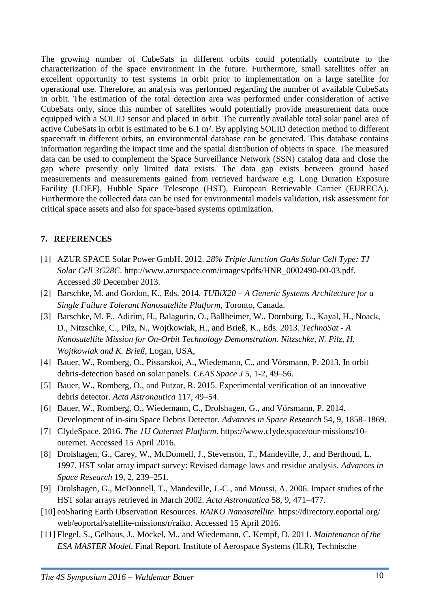The growing number of CubeSats in different orbits could potentially contribute to the characterization of the space environment in the future. Furthermore, small satellites offer an excellent opportunity to test systems in orbit prior to implementation on a large satellite for operational use. Therefore, an analysis was performed regarding the number of available CubeSats in orbit. The estimation of the total detection area was performed under consideration of active CubeSats only, since this number of satellites would potentially provide measurement data once equipped with a SOLID sensor and placed in orbit. The currently available total solar panel area of active CubeSats in orbit is estimated to be 6.1 m². By applying SOLID detection method to different spacecraft in different orbits, an environmental database can be generated. This database contains information regarding the impact time and the spatial distribution of objects in space. The measured data can be used to complement the Space Surveillance Network (SSN) catalog data and close the gap where presently only limited data exists. The data gap exists between ground based measurements and measurements gained from retrieved hardware e.g. Long Duration Exposure Facility (LDEF), Hubble Space Telescope (HST), European Retrievable Carrier (EURECA). Furthermore the collected data can be used for environmental models validation, risk assessment for critical space assets and also for space-based systems optimization.

### **7. REFERENCES**

- [1] AZUR SPACE Solar Power GmbH. 2012. *28% Triple Junction GaAs Solar Cell Type: TJ Solar Cell 3G28C*. http://www.azurspace.com/images/pdfs/HNR\_0002490-00-03.pdf. Accessed 30 December 2013.
- [2] Barschke, M. and Gordon, K., Eds. 2014. *TUBiX20 – A Generic Systems Architecture for a Single Failure Tolerant Nanosatellite Platform*, Toronto, Canada.
- [3] Barschke, M. F., Adirim, H., Balagurin, O., Ballheimer, W., Dornburg, L., Kayal, H., Noack, D., Nitzschke, C., Pilz, N., Wojtkowiak, H., and Brieß, K., Eds. 2013. *TechnoSat - A Nanosatellite Mission for On-Orbit Technology Demonstration*. *Nitzschke, N. Pilz, H. Wojtkowiak and K. Brieß*, Logan, USA,
- [4] Bauer, W., Romberg, O., Pissarskoi, A., Wiedemann, C., and Vörsmann, P. 2013. In orbit debris-detection based on solar panels. *CEAS Space J* 5, 1-2, 49–56.
- [5] Bauer, W., Romberg, O., and Putzar, R. 2015. Experimental verification of an innovative debris detector. *Acta Astronautica* 117, 49–54.
- [6] Bauer, W., Romberg, O., Wiedemann, C., Drolshagen, G., and Vörsmann, P. 2014. Development of in-situ Space Debris Detector. *Advances in Space Research* 54, 9, 1858–1869.
- [7] ClydeSpace. 2016. *The 1U Outernet Platform*. https://www.clyde.space/our-missions/10 outernet. Accessed 15 April 2016.
- [8] Drolshagen, G., Carey, W., McDonnell, J., Stevenson, T., Mandeville, J., and Berthoud, L. 1997. HST solar array impact survey: Revised damage laws and residue analysis. *Advances in Space Research* 19, 2, 239–251.
- [9] Drolshagen, G., McDonnell, T., Mandeville, J.-C., and Moussi, A. 2006. Impact studies of the HST solar arrays retrieved in March 2002. *Acta Astronautica* 58, 9, 471–477.
- [10] eoSharing Earth Observation Resources. *RAIKO Nanosatellite*. https://directory.eoportal.org/ web/eoportal/satellite-missions/r/raiko. Accessed 15 April 2016.
- [11] Flegel, S., Gelhaus, J., Möckel, M., and Wiedemann, C, Kempf, D. 2011. *Maintenance of the ESA MASTER Model*. Final Report. Institute of Aerospace Systems (ILR), Technische